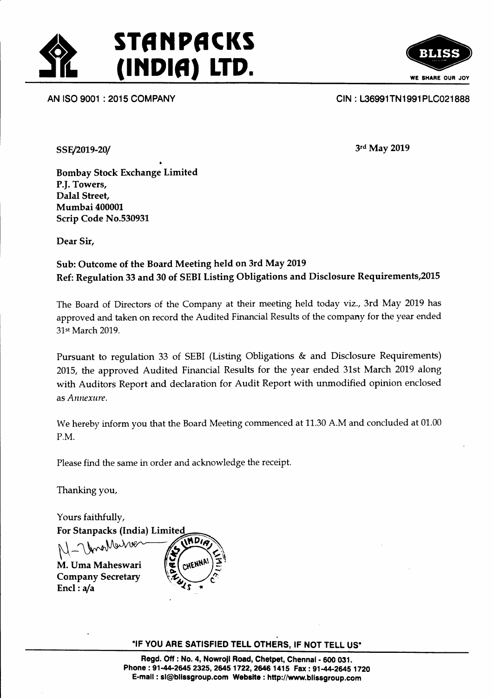

a





SSE/2019-20/

3rd May 2019

Bombay Stock Exchange Limited P.f. Towers, Dalal Street, Mumbai 400001. Scrip Code No.53093L

Dear Sir,

### Sub: Outcome of the Board Meeting held on 3rd May 2019 Ref: Regulation 33 and 30 of SEBI Listing Obligations and Disclosure Requirements,20l5

The Board of Directors of the Company at their meeting held today viz., 3rd May 2019 has approved and taken on record the Audited Financial Results of the company for the vear ended 31st March 2019.

Pursuant to regulation 33 of SEBI (Listing Obligations & and Disclosure Requirements) 2015, the approved Audited Financial Results for the year ended 31st March 2019 along with Auditors Report and declaration for Audit Report with unmodified opinion enclosed as Annexure.

We hereby inform you that the Board Meeting commenced at 11.30 A.M and concluded at 01.00 P.M.

Please find the same in order and acknowledge the receipt.

Thanking you,

Yours faithfully,

For Stanpacks (India) Limited UnaMain **MDIA** N - Vynw<sup>WwW&</sup><br>M. Uma Maheswari

Company Secretary Encl :  $a/a$ 



"IF YOU ARE SATISFIED TELL OTHERS, IF NOT TELL US"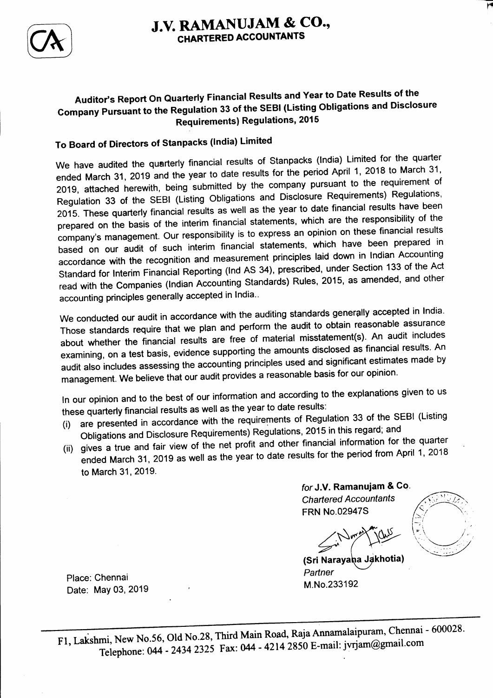

# J.V. RAMANUJAM & CO., CHARTERED ACCOUNTANTS

## Auditor's Report On Quarterly Financial Results and Year to Date Results of the Gompany pursuant to the Regulation 33 of the sEBl (Listing obligations and Disclosure Requirements) Regulations, 2015

# To Board of Directors of stanpacks (lndia) Limited

we have audited the quarterly financial results of stanpacks (lndia) Limited for the quarter ended March 31, 2019 and the year to date results for the period April 1, 2018 to March 31, 2019, attached herewith, being submitted by the company pursuant to the requirement of Regulation 33 of the SEBI (Listing Obligations and Disclosure Requirements) Regulations, 2015. These quarterly financial results as well as the year to date financial results have been prepared on the basis of the interim financial statements, which are the responsibility of the company's management. Our responsibility is to express an opinion on these financial results based on our audit of such interim financial statements, which have been prepared in accordance with the recognition and measurement principles laid down in lndian Accounting standard for lnterim Financial Reporting (lnd As 34), prescribed, under section 133 of the Act read with the Companies (Indian Accounting Standards) Rules, 2015, as amended, and other accounting principles generally accepted in India..

We conducted our audit in accordance with the auditing standards generally accepted in India. Those standards require that we plan and perform the audit to obtain reasonable assurance about whether the financial results are free of material misstatement(s). An audit includes examining, on a test basis, evidence supporting the amounts disclosed as financial results. An audit also includes assessing the accounting principles used and significant estimates made by management. We believe that our audit provides a reasonable basis for our opinion.

ln our opinion and to the best of our information and according to the explanations given to us these quarterly financial results as well as the year to date results:

- (i) are presented in accordance with the requirements of Regulation 33 of the sEBl (Listing obligations and Disclosure Requirements) Regulations, 2015 in this regard; and
- (ii) gives a true and fair view of the net profit and other financial information for the quarter ended March 31, zo19 as well as the year to date results for the period from April 1, 2018 to March 31, 2019.

for J.Y. Ramanujam & Co. Chartered Accountants FRN No.02947S

!{l r;:

^ M.No.233192 (Sri Narayaha Jakhotia) **Partner** 

Place: Chennai Date: MaY 03, 2019

F1, Lakshmi, New No.56, Old No.28, Third Main Road, Raja Annamalaipuram, Chennai - 600028. Telephone:  $044 - 24342325$  Fax: 044 - 4214 2850 E-mail: jvrjam@gmail.com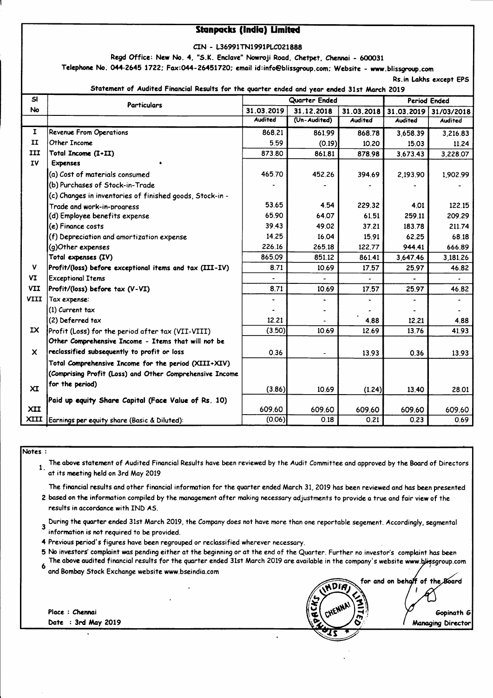#### **Stanpacks (India) Limited**

CIN - L36991TN1991PLC021888

Regd Office: New No. 4, "S.K. Enclave" Nowroji Road, Chetpet, Chennai - 600031

Telephone No. 044-2645 1722; Fax:044-26451720; email id:info@blissgroup.com; Website - www.blissgroup.com

Rs.in Lakhs except EPS

Statement of Audited Financial Results for the quarter ended and year ended 31st March 2019

| SI                        | <b>Particulars</b>                                       | Quarter Ended  |                          |                | <b>Period Ended</b> |                |
|---------------------------|----------------------------------------------------------|----------------|--------------------------|----------------|---------------------|----------------|
| <b>No</b>                 |                                                          | 31.03.2019     | 31.12.2018               | 31.03.2018     | 31.03.2019          | 31/03/2018     |
|                           |                                                          | <b>Audited</b> | (Un-Audited)             | <b>Audited</b> | <b>Audited</b>      | <b>Audited</b> |
| $\mathbf{I}$              | <b>Revenue From Operations</b>                           | 868.21         | 861.99                   | 868.78         | 3,658.39            | 3,216.83       |
| II                        | Other Income                                             | 5.59           | (0.19)                   | 10.20          | 15.03               | 11.24          |
| III                       | Total Income (I+II)                                      | 873.80         | 861.81                   | 878.98         | 3,673.43            | 3,228.07       |
| <b>IV</b>                 | <b>Expenses</b>                                          |                |                          |                |                     |                |
|                           | (a) Cost of materials consumed                           | 465.70         | 452.26                   | 394.69         | 2,193.90            | 1,902.99       |
|                           | (b) Purchases of Stock-in-Trade                          |                |                          |                |                     |                |
|                           | (c) Changes in inventories of finished goods, Stock-in - |                |                          |                |                     |                |
|                           | Trade and work-in-progress                               | 53.65          | 4.54                     | 229.32         | 4.01                | 122.15         |
|                           | (d) Employee benefits expense                            | 65.90          | 64.07                    | 61.51          | 259.11              | 209.29         |
|                           | (e) Finance costs                                        | 39.43          | 49.02                    | 37.21          | 183.78              | 211.74         |
|                           | (f) Depreciation and amortization expense                | 14.25          | 16.04                    | 15.91          | 62.25               | 68.18          |
|                           | (g)Other expenses                                        | 226.16         | 265.18                   | 122.77         | 944.41              | 666.89         |
|                           | Total expenses (IV)                                      | 865.09         | 851.12                   | 861.41         | 3,647.46            | 3,181.26       |
| V                         | Profit/(loss) before exceptional items and tax (III-IV)  | 8.71           | 10.69                    | 17.57          | 25.97               | 46.82          |
| VI                        | <b>Exceptional Items</b>                                 |                |                          |                |                     |                |
| <b>VII</b>                | Profit/(loss) before tax (V-VI)                          | 8.71           | 10.69                    | 17.57          | 25.97               | 46.82          |
| <b>VIII</b>               | Tax expense:                                             |                | $\overline{\phantom{0}}$ |                |                     |                |
|                           | (1) Current tax                                          |                | ٠                        |                |                     |                |
|                           | (2) Deferred tax                                         | 12.21          |                          | 4.88           | 12.21               | 4.88           |
| IX.                       | Profit (Loss) for the period after tax (VII-VIII)        | (3.50)         | 10.69                    | 12.69          | 13.76               | 41.93          |
|                           | Other Comprehensive Income - Items that will not be      |                |                          |                |                     |                |
| $\boldsymbol{\mathsf{x}}$ | reclassified subsequently to profit or loss              | 0.36           | $\blacksquare$           | 13.93          | 0.36                | 13.93          |
|                           | Total Comprehensive Income for the period (XIII+XIV)     |                |                          |                |                     |                |
|                           | (Comprising Profit (Loss) and Other Comprehensive Income |                |                          |                |                     |                |
| XI                        | for the period)                                          | (3.86)         | 10.69                    | (1.24)         | 13.40               | 28.01          |
|                           | Paid up equity Share Capital (Face Value of Rs. 10)      |                |                          |                |                     |                |
| <b>XII</b>                |                                                          | 609.60         | 609.60                   | 609.60         | 609.60              | 609.60         |
| XIII                      | Earnings per equity share (Basic & Diluted):             | (0.06)         | 0.18                     | 0.21           | 0.23                | 0.69           |

Notes:

The above statement of Audited Financial Results have been reviewed by the Audit Committee and approved by the Board of Directors  $\mathbf{1}$ . at its meeting held on 3rd May 2019

The financial results and other financial information for the quarter ended March 31, 2019 has been reviewed and has been presented 2 based on the information compiled by the management after making necessary adjustments to provide a true and fair view of the

results in accordance with IND AS.

During the quarter ended 31st March 2019, the Company does not have more than one reportable segement. Accordingly, segmental  $\overline{\mathbf{3}}$ information is not required to be provided.

4 Previous period's figures have been regrouped or reclassified wherever necessary.

5 No investors' complaint was pending either at the beginning or at the end of the Quarter. Further no investor's complaint has been The above audited financial results for the quarter ended 31st March 2019 are available in the company's website www.bligsgroup.com

and Bombay Stock Exchange website www.bseindia.com

Place : Chennai Date : 3rd May 2019

for and on behalf of the Board Gopinath G **Managing Director**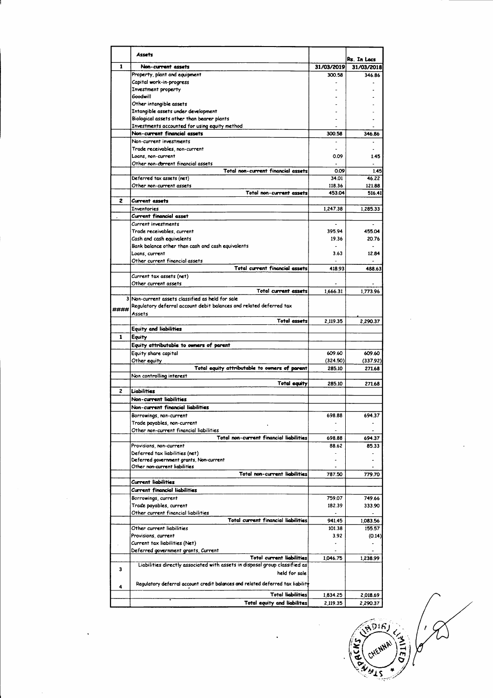|              | Assets                                                                         |                      | Rs. In Locs           |
|--------------|--------------------------------------------------------------------------------|----------------------|-----------------------|
| 1            | Non-current assets                                                             | 31/03/2019           | 31/03/2018            |
|              | Property, plant and equipment                                                  | 300.58               | 346.86                |
|              | Capital work-in-progress                                                       |                      |                       |
|              | Investment property                                                            |                      |                       |
|              | Goodwill                                                                       |                      |                       |
|              | Other intangible assets                                                        |                      |                       |
|              | Intangible assets under development                                            |                      |                       |
|              | Biological assets other than bearer plants                                     |                      |                       |
|              | Investments accounted for using equity method                                  |                      |                       |
|              | Non-current financial assets                                                   | 300.58               | 346.86                |
|              | Non-current investments                                                        |                      |                       |
|              | Trade receivables, non-current                                                 |                      |                       |
|              | Loans, non-current                                                             | 0.09                 | 1.45                  |
|              | Other non-carrent financial assets                                             |                      |                       |
|              | Total non-current financial assets                                             | 0.09                 | 1.45                  |
|              | Deferred tax assets (net)                                                      | 34.01                | 46.22                 |
|              | Other non-current assets                                                       | 118.36               | 121.88                |
|              | Total non-current assets                                                       | 453.04               | 516.41                |
| 2            | Current assets                                                                 |                      |                       |
|              | <b>Inventories</b>                                                             | 1,247.38             | 1.285.33              |
|              | <b>Current financial asset</b>                                                 |                      |                       |
|              | Current investments                                                            |                      |                       |
|              | Trade receivables, current                                                     | 395.94               | 455.04                |
|              | Cash and cash equivalents                                                      | 19.36                | 20.76                 |
|              | Bank balance other than cash and cash equivalents                              | $\ddot{\phantom{1}}$ | $\tilde{\phantom{a}}$ |
|              | Loans, current                                                                 | 3.63                 | 12.84                 |
|              | Other current financial assets                                                 |                      |                       |
|              | Total current financial assets                                                 | 418.93               | 488.63                |
|              | Current tax assets (net)                                                       |                      |                       |
|              | Other current assets                                                           |                      |                       |
|              | Total current assets                                                           | 1,666.31             | 1,773.96              |
|              | 3 Non-current assets classified as held for sale                               |                      |                       |
| ####         | Regulatory deferral account debit balances and related deferred tax            |                      |                       |
|              | Assets                                                                         |                      |                       |
|              | <b>Total assets</b>                                                            | 2,119.35             | 2,290.37              |
|              | <b>Equity and liabilities</b>                                                  |                      |                       |
| $\mathbf{1}$ | Equity                                                                         |                      |                       |
|              | Equity attributable to owners of parent                                        |                      |                       |
|              | Equity share capital                                                           | 609.60               | 609.60                |
|              | Other equity                                                                   | (324.50)             | (337.92)              |
|              | Total equity attributable to owners of parent                                  | 285.10               | 271.68                |
|              | Non controlling interest                                                       |                      |                       |
|              | <b>Total equity</b>                                                            | 285.10               | 271.68                |
| 2            | Liabilities                                                                    |                      |                       |
|              | Non-current liabilities                                                        |                      |                       |
|              | Non-current financial liabilities                                              |                      |                       |
|              | Borrowings, non-current                                                        | 698.88               | 694.37                |
|              | Trade payables, non-current                                                    |                      |                       |
|              | Other non-current financial liabilities                                        |                      |                       |
|              | Total non-current financial liabilities                                        | 698.88               | 694.37                |
|              | Provisions, non-current                                                        | 88.62                | 85.33                 |
|              | Deferred tax liabilities (net)                                                 |                      |                       |
|              | Deferred government grants, Non-current                                        | $\overline{a}$       |                       |
|              | Other non-current liabilities                                                  |                      |                       |
|              | Total non-current liabilities                                                  | 787.50               | 779.70                |
|              | Current liabilities                                                            |                      |                       |
|              | Current financial liabilities                                                  |                      |                       |
|              | Borrowings, current                                                            | 759.07               | 749.66                |
|              | Trade payables, current                                                        | 182.39               | 333.90                |
|              | Other current financial liabilities                                            | $\overline{a}$       | $\overline{a}$        |
|              | Total current financial liabilities                                            | 941.45               | 1,083.56              |
|              | Other current liabilities                                                      | 101.38               | 155.57                |
|              | Provisions, current                                                            | 3.92                 | (0.14)                |
|              | Current tax liabilities (Net)                                                  |                      |                       |
|              | Deferred government grants, Current                                            |                      |                       |
|              | <b>Total current liabilities</b>                                               | 1,046.75             | 1,238.99              |
| 3            | Liabilities directly associated with assets in disposal group classified as    |                      |                       |
|              | held for sale                                                                  |                      |                       |
| 4            | Regulatory deferral account credit balances and related deferred tax liability |                      |                       |
|              | <b>Total liabilities</b>                                                       |                      |                       |
|              |                                                                                | 1,834.25             | 2,018.69              |
|              | Total equity and liabilites                                                    | 2,119.35             | 2,290.37              |

(NDIR) OFINE ! **HENNA!** acks